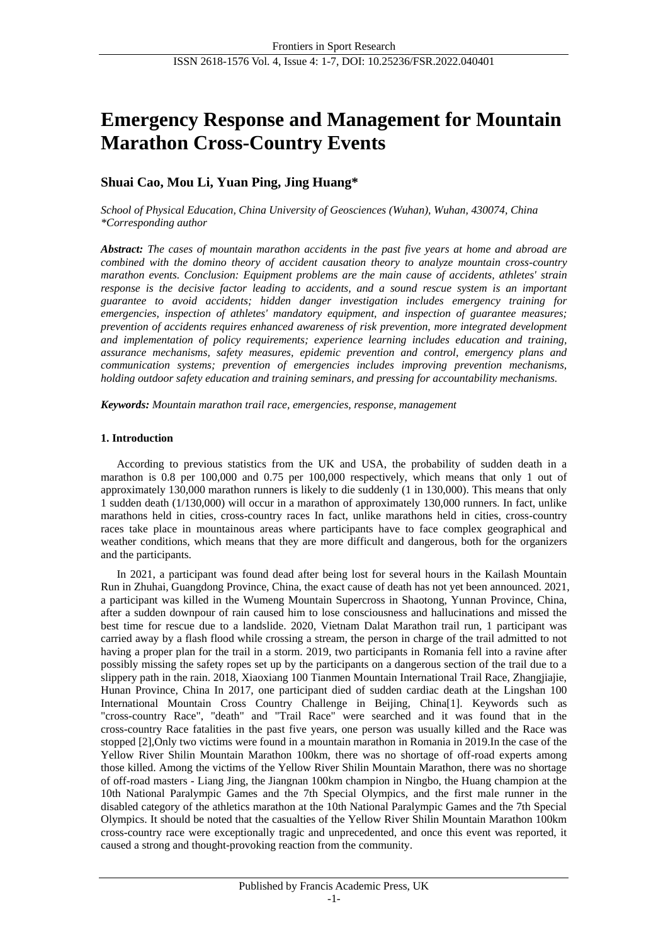# **Emergency Response and Management for Mountain Marathon Cross-Country Events**

## **Shuai Cao, Mou Li, Yuan Ping, Jing Huang\***

*School of Physical Education, China University of Geosciences (Wuhan), Wuhan, 430074, China \*Corresponding author*

*Abstract: The cases of mountain marathon accidents in the past five years at home and abroad are combined with the domino theory of accident causation theory to analyze mountain cross-country marathon events. Conclusion: Equipment problems are the main cause of accidents, athletes' strain response is the decisive factor leading to accidents, and a sound rescue system is an important guarantee to avoid accidents; hidden danger investigation includes emergency training for emergencies, inspection of athletes' mandatory equipment, and inspection of guarantee measures; prevention of accidents requires enhanced awareness of risk prevention, more integrated development and implementation of policy requirements; experience learning includes education and training, assurance mechanisms, safety measures, epidemic prevention and control, emergency plans and communication systems; prevention of emergencies includes improving prevention mechanisms, holding outdoor safety education and training seminars, and pressing for accountability mechanisms.*

*Keywords: Mountain marathon trail race, emergencies, response, management*

## **1. Introduction**

According to previous statistics from the UK and USA, the probability of sudden death in a marathon is 0.8 per 100,000 and 0.75 per 100,000 respectively, which means that only 1 out of approximately 130,000 marathon runners is likely to die suddenly (1 in 130,000). This means that only 1 sudden death (1/130,000) will occur in a marathon of approximately 130,000 runners. In fact, unlike marathons held in cities, cross-country races In fact, unlike marathons held in cities, cross-country races take place in mountainous areas where participants have to face complex geographical and weather conditions, which means that they are more difficult and dangerous, both for the organizers and the participants.

In 2021, a participant was found dead after being lost for several hours in the Kailash Mountain Run in Zhuhai, Guangdong Province, China, the exact cause of death has not yet been announced. 2021, a participant was killed in the Wumeng Mountain Supercross in Shaotong, Yunnan Province, China, after a sudden downpour of rain caused him to lose consciousness and hallucinations and missed the best time for rescue due to a landslide. 2020, Vietnam Dalat Marathon trail run, 1 participant was carried away by a flash flood while crossing a stream, the person in charge of the trail admitted to not having a proper plan for the trail in a storm. 2019, two participants in Romania fell into a ravine after possibly missing the safety ropes set up by the participants on a dangerous section of the trail due to a slippery path in the rain. 2018, Xiaoxiang 100 Tianmen Mountain International Trail Race, Zhangjiajie, Hunan Province, China In 2017, one participant died of sudden cardiac death at the Lingshan 100 International Mountain Cross Country Challenge in Beijing, China[1]. Keywords such as "cross-country Race", "death" and "Trail Race" were searched and it was found that in the cross-country Race fatalities in the past five years, one person was usually killed and the Race was stopped [2],Only two victims were found in a mountain marathon in Romania in 2019.In the case of the Yellow River Shilin Mountain Marathon 100km, there was no shortage of off-road experts among those killed. Among the victims of the Yellow River Shilin Mountain Marathon, there was no shortage of off-road masters - Liang Jing, the Jiangnan 100km champion in Ningbo, the Huang champion at the 10th National Paralympic Games and the 7th Special Olympics, and the first male runner in the disabled category of the athletics marathon at the 10th National Paralympic Games and the 7th Special Olympics. It should be noted that the casualties of the Yellow River Shilin Mountain Marathon 100km cross-country race were exceptionally tragic and unprecedented, and once this event was reported, it caused a strong and thought-provoking reaction from the community.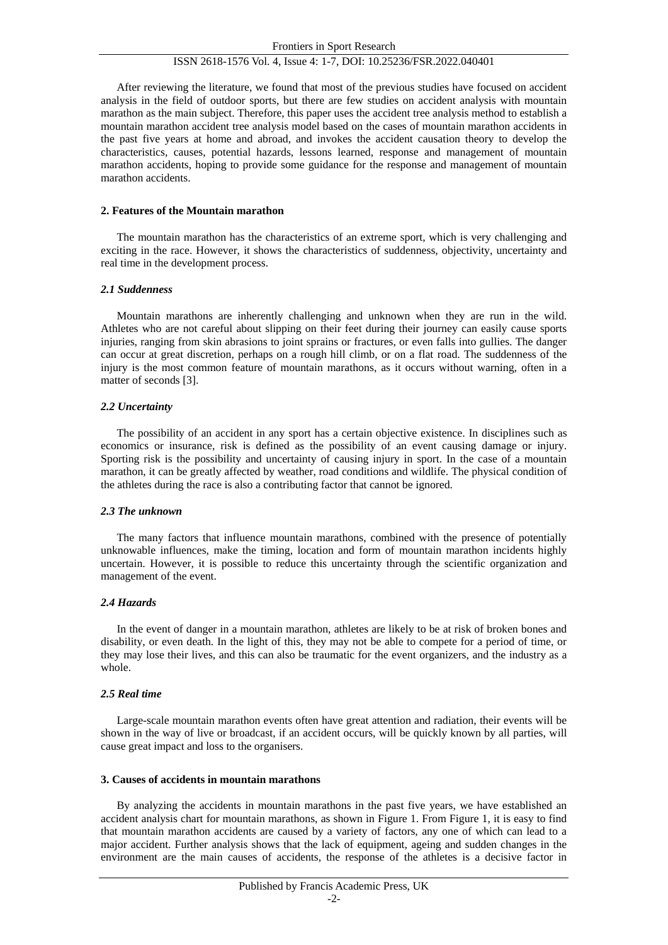After reviewing the literature, we found that most of the previous studies have focused on accident analysis in the field of outdoor sports, but there are few studies on accident analysis with mountain marathon as the main subject. Therefore, this paper uses the accident tree analysis method to establish a mountain marathon accident tree analysis model based on the cases of mountain marathon accidents in the past five years at home and abroad, and invokes the accident causation theory to develop the characteristics, causes, potential hazards, lessons learned, response and management of mountain marathon accidents, hoping to provide some guidance for the response and management of mountain marathon accidents.

#### **2. Features of the Mountain marathon**

The mountain marathon has the characteristics of an extreme sport, which is very challenging and exciting in the race. However, it shows the characteristics of suddenness, objectivity, uncertainty and real time in the development process.

#### *2.1 Suddenness*

Mountain marathons are inherently challenging and unknown when they are run in the wild. Athletes who are not careful about slipping on their feet during their journey can easily cause sports injuries, ranging from skin abrasions to joint sprains or fractures, or even falls into gullies. The danger can occur at great discretion, perhaps on a rough hill climb, or on a flat road. The suddenness of the injury is the most common feature of mountain marathons, as it occurs without warning, often in a matter of seconds [3].

#### *2.2 Uncertainty*

The possibility of an accident in any sport has a certain objective existence. In disciplines such as economics or insurance, risk is defined as the possibility of an event causing damage or injury. Sporting risk is the possibility and uncertainty of causing injury in sport. In the case of a mountain marathon, it can be greatly affected by weather, road conditions and wildlife. The physical condition of the athletes during the race is also a contributing factor that cannot be ignored.

#### *2.3 The unknown*

The many factors that influence mountain marathons, combined with the presence of potentially unknowable influences, make the timing, location and form of mountain marathon incidents highly uncertain. However, it is possible to reduce this uncertainty through the scientific organization and management of the event.

#### *2.4 Hazards*

In the event of danger in a mountain marathon, athletes are likely to be at risk of broken bones and disability, or even death. In the light of this, they may not be able to compete for a period of time, or they may lose their lives, and this can also be traumatic for the event organizers, and the industry as a whole.

#### *2.5 Real time*

Large-scale mountain marathon events often have great attention and radiation, their events will be shown in the way of live or broadcast, if an accident occurs, will be quickly known by all parties, will cause great impact and loss to the organisers.

#### **3. Causes of accidents in mountain marathons**

By analyzing the accidents in mountain marathons in the past five years, we have established an accident analysis chart for mountain marathons, as shown in Figure 1. From Figure 1, it is easy to find that mountain marathon accidents are caused by a variety of factors, any one of which can lead to a major accident. Further analysis shows that the lack of equipment, ageing and sudden changes in the environment are the main causes of accidents, the response of the athletes is a decisive factor in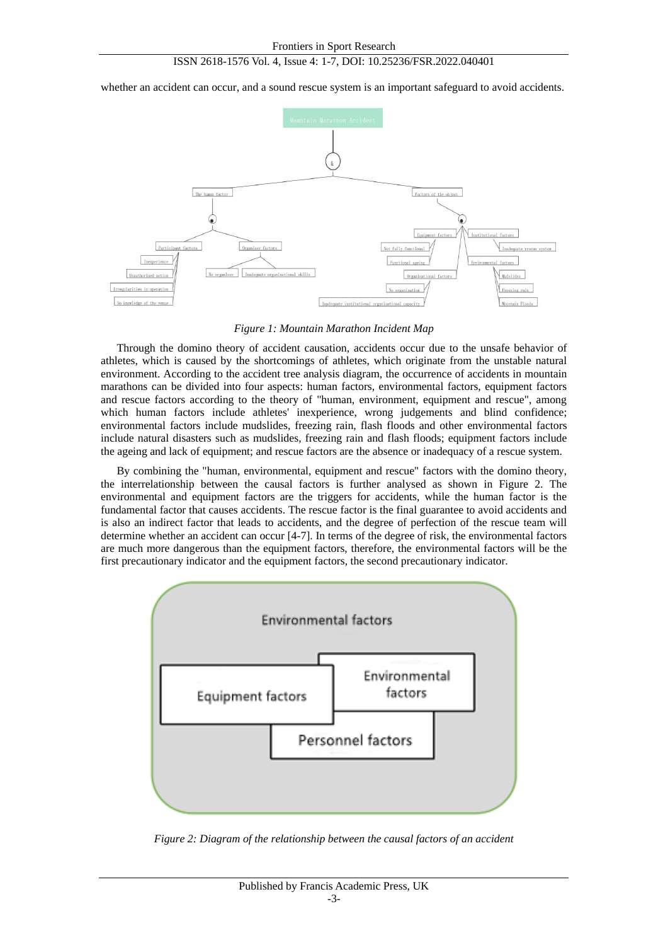whether an accident can occur, and a sound rescue system is an important safeguard to avoid accidents.



*Figure 1: Mountain Marathon Incident Map*

Through the domino theory of accident causation, accidents occur due to the unsafe behavior of athletes, which is caused by the shortcomings of athletes, which originate from the unstable natural environment. According to the accident tree analysis diagram, the occurrence of accidents in mountain marathons can be divided into four aspects: human factors, environmental factors, equipment factors and rescue factors according to the theory of "human, environment, equipment and rescue", among which human factors include athletes' inexperience, wrong judgements and blind confidence; environmental factors include mudslides, freezing rain, flash floods and other environmental factors include natural disasters such as mudslides, freezing rain and flash floods; equipment factors include the ageing and lack of equipment; and rescue factors are the absence or inadequacy of a rescue system.

By combining the "human, environmental, equipment and rescue" factors with the domino theory, the interrelationship between the causal factors is further analysed as shown in Figure 2. The environmental and equipment factors are the triggers for accidents, while the human factor is the fundamental factor that causes accidents. The rescue factor is the final guarantee to avoid accidents and is also an indirect factor that leads to accidents, and the degree of perfection of the rescue team will determine whether an accident can occur [4-7]. In terms of the degree of risk, the environmental factors are much more dangerous than the equipment factors, therefore, the environmental factors will be the first precautionary indicator and the equipment factors, the second precautionary indicator.



*Figure 2: Diagram of the relationship between the causal factors of an accident*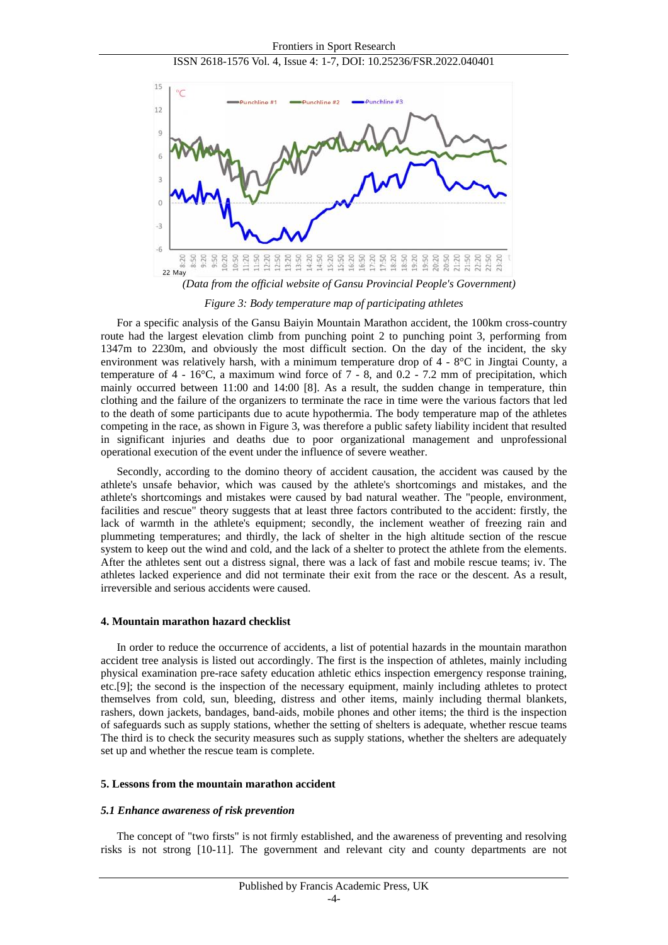

 *(Data from the official website of Gansu Provincial People's Government)*

*Figure 3: Body temperature map of participating athletes*

For a specific analysis of the Gansu Baiyin Mountain Marathon accident, the 100km cross-country route had the largest elevation climb from punching point 2 to punching point 3, performing from 1347m to 2230m, and obviously the most difficult section. On the day of the incident, the sky environment was relatively harsh, with a minimum temperature drop of  $4 - 8$ °C in Jingtai County, a temperature of  $4 - 16\degree C$ , a maximum wind force of  $7 - 8$ , and  $0.2 - 7.2$  mm of precipitation, which mainly occurred between 11:00 and 14:00 [8]. As a result, the sudden change in temperature, thin clothing and the failure of the organizers to terminate the race in time were the various factors that led to the death of some participants due to acute hypothermia. The body temperature map of the athletes competing in the race, as shown in Figure 3, was therefore a public safety liability incident that resulted in significant injuries and deaths due to poor organizational management and unprofessional operational execution of the event under the influence of severe weather.

Secondly, according to the domino theory of accident causation, the accident was caused by the athlete's unsafe behavior, which was caused by the athlete's shortcomings and mistakes, and the athlete's shortcomings and mistakes were caused by bad natural weather. The "people, environment, facilities and rescue" theory suggests that at least three factors contributed to the accident: firstly, the lack of warmth in the athlete's equipment; secondly, the inclement weather of freezing rain and plummeting temperatures; and thirdly, the lack of shelter in the high altitude section of the rescue system to keep out the wind and cold, and the lack of a shelter to protect the athlete from the elements. After the athletes sent out a distress signal, there was a lack of fast and mobile rescue teams; iv. The athletes lacked experience and did not terminate their exit from the race or the descent. As a result, irreversible and serious accidents were caused.

#### **4. Mountain marathon hazard checklist**

In order to reduce the occurrence of accidents, a list of potential hazards in the mountain marathon accident tree analysis is listed out accordingly. The first is the inspection of athletes, mainly including physical examination pre-race safety education athletic ethics inspection emergency response training, etc.[9]; the second is the inspection of the necessary equipment, mainly including athletes to protect themselves from cold, sun, bleeding, distress and other items, mainly including thermal blankets, rashers, down jackets, bandages, band-aids, mobile phones and other items; the third is the inspection of safeguards such as supply stations, whether the setting of shelters is adequate, whether rescue teams The third is to check the security measures such as supply stations, whether the shelters are adequately set up and whether the rescue team is complete.

#### **5. Lessons from the mountain marathon accident**

#### *5.1 Enhance awareness of risk prevention*

The concept of "two firsts" is not firmly established, and the awareness of preventing and resolving risks is not strong [10-11]. The government and relevant city and county departments are not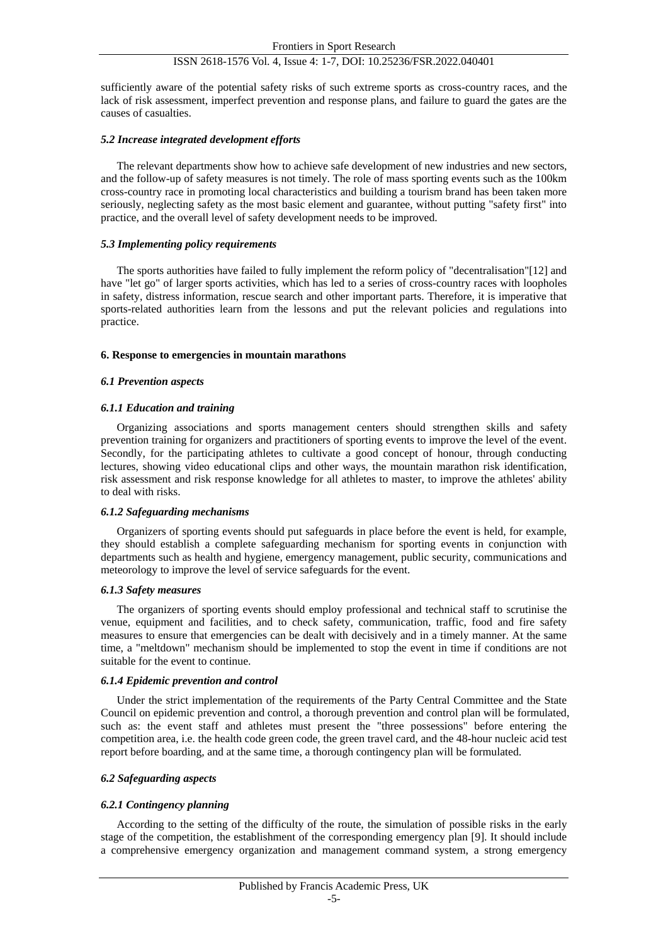sufficiently aware of the potential safety risks of such extreme sports as cross-country races, and the lack of risk assessment, imperfect prevention and response plans, and failure to guard the gates are the causes of casualties.

## *5.2 Increase integrated development efforts*

The relevant departments show how to achieve safe development of new industries and new sectors, and the follow-up of safety measures is not timely. The role of mass sporting events such as the 100km cross-country race in promoting local characteristics and building a tourism brand has been taken more seriously, neglecting safety as the most basic element and guarantee, without putting "safety first" into practice, and the overall level of safety development needs to be improved.

## *5.3 Implementing policy requirements*

The sports authorities have failed to fully implement the reform policy of "decentralisation"[12] and have "let go" of larger sports activities, which has led to a series of cross-country races with loopholes in safety, distress information, rescue search and other important parts. Therefore, it is imperative that sports-related authorities learn from the lessons and put the relevant policies and regulations into practice.

#### **6. Response to emergencies in mountain marathons**

## *6.1 Prevention aspects*

## *6.1.1 Education and training*

Organizing associations and sports management centers should strengthen skills and safety prevention training for organizers and practitioners of sporting events to improve the level of the event. Secondly, for the participating athletes to cultivate a good concept of honour, through conducting lectures, showing video educational clips and other ways, the mountain marathon risk identification, risk assessment and risk response knowledge for all athletes to master, to improve the athletes' ability to deal with risks.

## *6.1.2 Safeguarding mechanisms*

Organizers of sporting events should put safeguards in place before the event is held, for example, they should establish a complete safeguarding mechanism for sporting events in conjunction with departments such as health and hygiene, emergency management, public security, communications and meteorology to improve the level of service safeguards for the event.

## *6.1.3 Safety measures*

The organizers of sporting events should employ professional and technical staff to scrutinise the venue, equipment and facilities, and to check safety, communication, traffic, food and fire safety measures to ensure that emergencies can be dealt with decisively and in a timely manner. At the same time, a "meltdown" mechanism should be implemented to stop the event in time if conditions are not suitable for the event to continue.

## *6.1.4 Epidemic prevention and control*

Under the strict implementation of the requirements of the Party Central Committee and the State Council on epidemic prevention and control, a thorough prevention and control plan will be formulated, such as: the event staff and athletes must present the "three possessions" before entering the competition area, i.e. the health code green code, the green travel card, and the 48-hour nucleic acid test report before boarding, and at the same time, a thorough contingency plan will be formulated.

## *6.2 Safeguarding aspects*

## *6.2.1 Contingency planning*

According to the setting of the difficulty of the route, the simulation of possible risks in the early stage of the competition, the establishment of the corresponding emergency plan [9]. It should include a comprehensive emergency organization and management command system, a strong emergency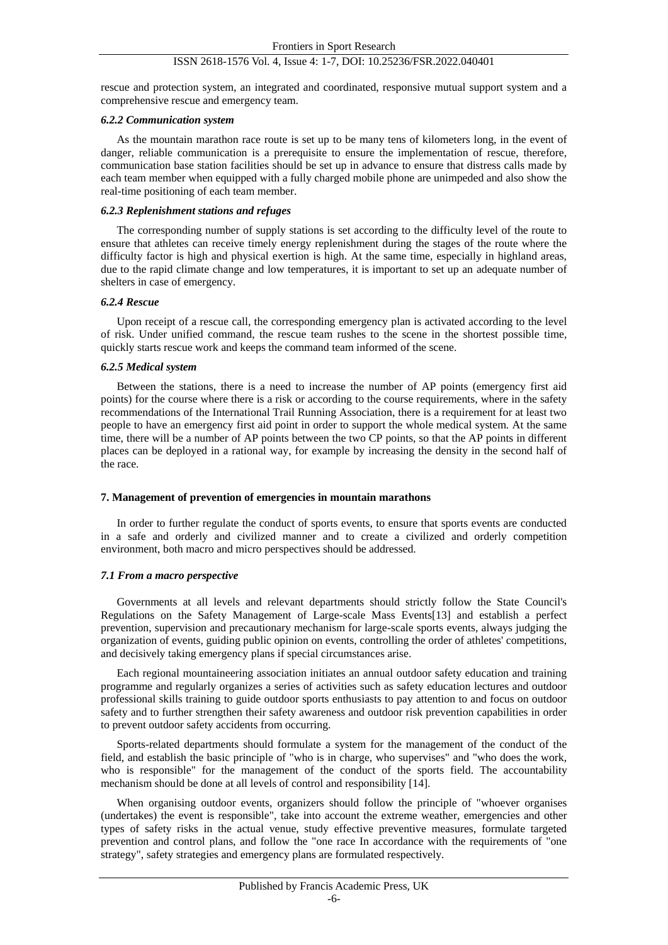rescue and protection system, an integrated and coordinated, responsive mutual support system and a comprehensive rescue and emergency team.

#### *6.2.2 Communication system*

As the mountain marathon race route is set up to be many tens of kilometers long, in the event of danger, reliable communication is a prerequisite to ensure the implementation of rescue, therefore, communication base station facilities should be set up in advance to ensure that distress calls made by each team member when equipped with a fully charged mobile phone are unimpeded and also show the real-time positioning of each team member.

#### *6.2.3 Replenishment stations and refuges*

The corresponding number of supply stations is set according to the difficulty level of the route to ensure that athletes can receive timely energy replenishment during the stages of the route where the difficulty factor is high and physical exertion is high. At the same time, especially in highland areas, due to the rapid climate change and low temperatures, it is important to set up an adequate number of shelters in case of emergency.

#### *6.2.4 Rescue*

Upon receipt of a rescue call, the corresponding emergency plan is activated according to the level of risk. Under unified command, the rescue team rushes to the scene in the shortest possible time, quickly starts rescue work and keeps the command team informed of the scene.

#### *6.2.5 Medical system*

Between the stations, there is a need to increase the number of AP points (emergency first aid points) for the course where there is a risk or according to the course requirements, where in the safety recommendations of the International Trail Running Association, there is a requirement for at least two people to have an emergency first aid point in order to support the whole medical system. At the same time, there will be a number of AP points between the two CP points, so that the AP points in different places can be deployed in a rational way, for example by increasing the density in the second half of the race.

#### **7. Management of prevention of emergencies in mountain marathons**

In order to further regulate the conduct of sports events, to ensure that sports events are conducted in a safe and orderly and civilized manner and to create a civilized and orderly competition environment, both macro and micro perspectives should be addressed.

#### *7.1 From a macro perspective*

Governments at all levels and relevant departments should strictly follow the State Council's Regulations on the Safety Management of Large-scale Mass Events[13] and establish a perfect prevention, supervision and precautionary mechanism for large-scale sports events, always judging the organization of events, guiding public opinion on events, controlling the order of athletes' competitions, and decisively taking emergency plans if special circumstances arise.

Each regional mountaineering association initiates an annual outdoor safety education and training programme and regularly organizes a series of activities such as safety education lectures and outdoor professional skills training to guide outdoor sports enthusiasts to pay attention to and focus on outdoor safety and to further strengthen their safety awareness and outdoor risk prevention capabilities in order to prevent outdoor safety accidents from occurring.

Sports-related departments should formulate a system for the management of the conduct of the field, and establish the basic principle of "who is in charge, who supervises" and "who does the work, who is responsible" for the management of the conduct of the sports field. The accountability mechanism should be done at all levels of control and responsibility [14].

When organising outdoor events, organizers should follow the principle of "whoever organises (undertakes) the event is responsible", take into account the extreme weather, emergencies and other types of safety risks in the actual venue, study effective preventive measures, formulate targeted prevention and control plans, and follow the "one race In accordance with the requirements of "one strategy", safety strategies and emergency plans are formulated respectively.